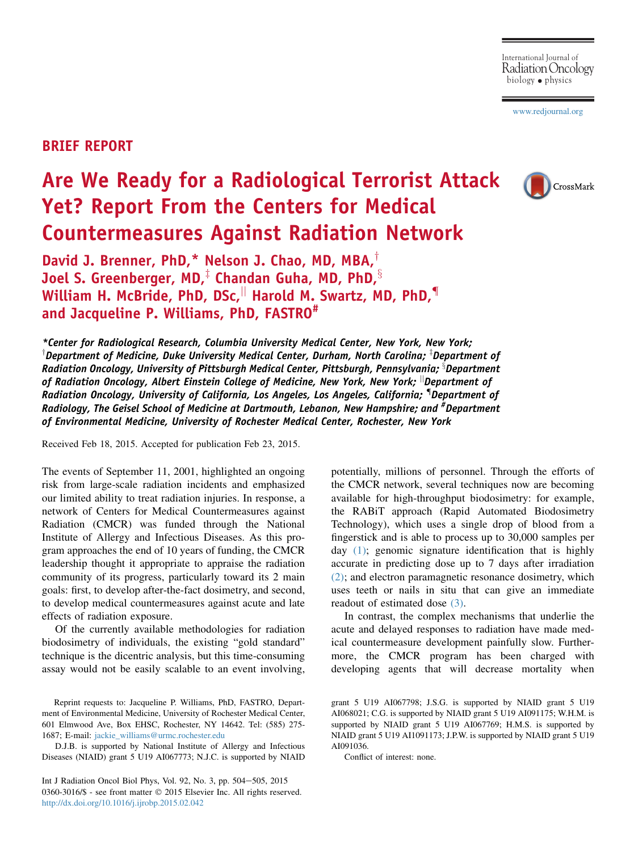[www.redjournal.org](http://www.redjournal.org)

## BRIEF REPORT

## Are We Ready for a Radiological Terrorist Attack Yet? Report From the Centers for Medical Countermeasures Against Radiation Network



David J. Brenner, PhD, $*$  Nelson J. Chao, MD, MBA, $<sup>†</sup>$ </sup> Joel S. Greenberger, MD,<sup> $\ddag$ </sup> Chandan Guha, MD, PhD, $\frac{8}{3}$ William H. McBride, PhD, DSc, Harold M. Swartz, MD, PhD, $\P$ and Jacqueline P. Williams, PhD, FASTRO#

\*Center for Radiological Research, Columbia University Medical Center, New York, New York;  $^\intercal$ Department of Medicine, Duke University Medical Center, Durham, North Carolina;  $^\intercal$ Department of Radiation Oncology, University of Pittsburgh Medical Center, Pittsburgh, Pennsylvania; <sup>s</sup>Department of Radiation Oncology, Albert Einstein College of Medicine, New York, New York;  $\mathbin{\|}$ Department of Radiation Oncology, University of California, Los Angeles, Los Angeles, California; { Department of Radiology, The Geisel School of Medicine at Dartmouth, Lebanon, New Hampshire; and <sup>#</sup>Department of Environmental Medicine, University of Rochester Medical Center, Rochester, New York

Received Feb 18, 2015. Accepted for publication Feb 23, 2015.

The events of September 11, 2001, highlighted an ongoing risk from large-scale radiation incidents and emphasized our limited ability to treat radiation injuries. In response, a network of Centers for Medical Countermeasures against Radiation (CMCR) was funded through the National Institute of Allergy and Infectious Diseases. As this program approaches the end of 10 years of funding, the CMCR leadership thought it appropriate to appraise the radiation community of its progress, particularly toward its 2 main goals: first, to develop after-the-fact dosimetry, and second, to develop medical countermeasures against acute and late effects of radiation exposure.

Of the currently available methodologies for radiation biodosimetry of individuals, the existing "gold standard" technique is the dicentric analysis, but this time-consuming assay would not be easily scalable to an event involving,

Reprint requests to: Jacqueline P. Williams, PhD, FASTRO, Department of Environmental Medicine, University of Rochester Medical Center, 601 Elmwood Ave, Box EHSC, Rochester, NY 14642. Tel: (585) 275- 1687; E-mail: [jackie\\_williams@urmc.rochester.edu](mailto:jackie_williams@urmc.rochester.edu)

D.J.B. is supported by National Institute of Allergy and Infectious Diseases (NIAID) grant 5 U19 AI067773; N.J.C. is supported by NIAID

Int J Radiation Oncol Biol Phys, Vol. 92, No. 3, pp. 504-505, 2015 0360-3016/\$ - see front matter  $\textcircled{ }$  2015 Elsevier Inc. All rights reserved. <http://dx.doi.org/10.1016/j.ijrobp.2015.02.042>

potentially, millions of personnel. Through the efforts of the CMCR network, several techniques now are becoming available for high-throughput biodosimetry: for example, the RABiT approach (Rapid Automated Biodosimetry Technology), which uses a single drop of blood from a fingerstick and is able to process up to 30,000 samples per day [\(1\);](#page-1-0) genomic signature identification that is highly accurate in predicting dose up to 7 days after irradiation [\(2\);](#page-1-0) and electron paramagnetic resonance dosimetry, which uses teeth or nails in situ that can give an immediate readout of estimated dose [\(3\)](#page-1-0).

In contrast, the complex mechanisms that underlie the acute and delayed responses to radiation have made medical countermeasure development painfully slow. Furthermore, the CMCR program has been charged with developing agents that will decrease mortality when

Conflict of interest: none.

grant 5 U19 AI067798; J.S.G. is supported by NIAID grant 5 U19 AI068021; C.G. is supported by NIAID grant 5 U19 AI091175; W.H.M. is supported by NIAID grant 5 U19 AI067769; H.M.S. is supported by NIAID grant 5 U19 AI1091173; J.P.W. is supported by NIAID grant 5 U19 AI091036.